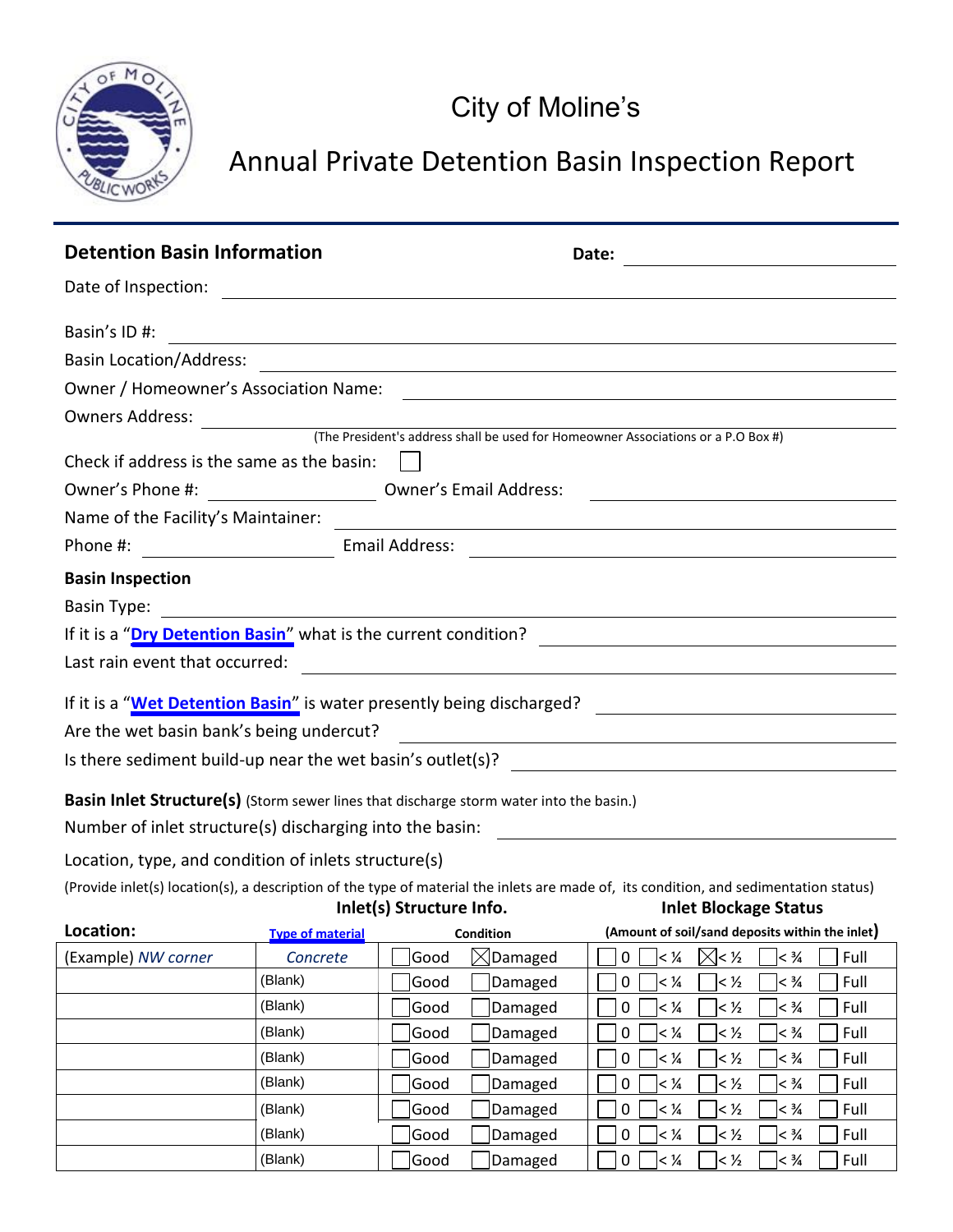

## Annual Private Detention Basin Inspection Report

| <b>Detention Basin Information</b>                                                                                                                                                                                                                        |                                    |                                    | Date:                                                                                                                                  |  |  |  |
|-----------------------------------------------------------------------------------------------------------------------------------------------------------------------------------------------------------------------------------------------------------|------------------------------------|------------------------------------|----------------------------------------------------------------------------------------------------------------------------------------|--|--|--|
|                                                                                                                                                                                                                                                           |                                    |                                    |                                                                                                                                        |  |  |  |
| Basin's ID#:                                                                                                                                                                                                                                              |                                    |                                    | ,我们也不会有什么。""我们的人,我们也不会有什么?""我们的人,我们也不会有什么?""我们的人,我们也不会有什么?""我们的人,我们也不会有什么?""我们的人                                                       |  |  |  |
|                                                                                                                                                                                                                                                           |                                    |                                    |                                                                                                                                        |  |  |  |
|                                                                                                                                                                                                                                                           |                                    |                                    |                                                                                                                                        |  |  |  |
|                                                                                                                                                                                                                                                           |                                    |                                    |                                                                                                                                        |  |  |  |
| Check if address is the same as the basin: $\ $                                                                                                                                                                                                           |                                    |                                    |                                                                                                                                        |  |  |  |
| Owner's Phone #: ________________________________ Owner's Email Address:                                                                                                                                                                                  |                                    |                                    | <u> 1980 - Johann Barn, mars ann an t-Amhain Aonaich an t-Aonaich an t-Aonaich ann an t-Aonaich ann an t-Aonaich</u>                   |  |  |  |
| Name of the Facility's Maintainer:                                                                                                                                                                                                                        |                                    |                                    | <u> 1989 - Johann Barn, amerikan besteman besteman besteman besteman besteman besteman besteman besteman bestema</u>                   |  |  |  |
|                                                                                                                                                                                                                                                           |                                    |                                    |                                                                                                                                        |  |  |  |
| <b>Basin Inspection</b>                                                                                                                                                                                                                                   |                                    |                                    |                                                                                                                                        |  |  |  |
|                                                                                                                                                                                                                                                           |                                    |                                    |                                                                                                                                        |  |  |  |
|                                                                                                                                                                                                                                                           |                                    |                                    |                                                                                                                                        |  |  |  |
|                                                                                                                                                                                                                                                           |                                    |                                    |                                                                                                                                        |  |  |  |
| Are the wet basin bank's being undercut?                                                                                                                                                                                                                  |                                    |                                    | <u> Alexandria de la contrada de la contrada de la contrada de la contrada de la contrada de la contrada de la c</u>                   |  |  |  |
| <b>Basin Inlet Structure(s)</b> (Storm sewer lines that discharge storm water into the basin.)                                                                                                                                                            |                                    |                                    |                                                                                                                                        |  |  |  |
| Number of inlet structure(s) discharging into the basin:                                                                                                                                                                                                  |                                    |                                    | <u> 1989 - Johann Barbara, martin amerikan basal da</u>                                                                                |  |  |  |
| Location, type, and condition of inlets structure(s)<br>(Provide inlet(s) location(s), a description of the type of material the inlets are made of, its condition, and sedimentation status)<br>Inlet(s) Structure Info.<br><b>Inlet Blockage Status</b> |                                    |                                    |                                                                                                                                        |  |  |  |
| Location:                                                                                                                                                                                                                                                 | <b>Example 19 Type of material</b> |                                    | Condition (Amount of soil/sand deposits within the inlet)                                                                              |  |  |  |
| (Example) NW corner                                                                                                                                                                                                                                       | Concrete                           | $\boxtimes$ Damaged<br>Good        | ⊠< ½<br>Full<br>0<br>$<$ 1/4<br>$< \frac{3}{4}$                                                                                        |  |  |  |
|                                                                                                                                                                                                                                                           | (Blank)                            | Good<br>Damaged                    | Full<br>0<br>$<$ $\frac{1}{4}$<br>$<$ $\frac{1}{2}$<br>$< \frac{3}{4}$                                                                 |  |  |  |
|                                                                                                                                                                                                                                                           | (Blank)                            | Good<br>Damaged                    | Full<br>0<br>$<$ $\frac{1}{4}$<br>$<$ ½<br>$< \frac{3}{4}$                                                                             |  |  |  |
|                                                                                                                                                                                                                                                           | (Blank)                            | Good<br>Damaged                    | $\pmb{0}$<br>$<$ $\frac{1}{4}$<br>$<$ $\frac{1}{2}$<br>$< \frac{3}{4}$<br>Full                                                         |  |  |  |
|                                                                                                                                                                                                                                                           | (Blank)                            | Damaged<br>Good                    | 0<br>$<$ $\frac{1}{4}$<br>$<$ ½<br>$< \frac{3}{4}$<br>Full                                                                             |  |  |  |
|                                                                                                                                                                                                                                                           | (Blank)<br>(Blank)                 | Good<br>Damaged<br>Damaged<br>Good | Full<br>0<br>$<$ 1/4<br>$<$ $\frac{1}{2}$<br>$< \frac{3}{4}$<br>Full<br>0<br>$<$ $\frac{1}{4}$<br>$<$ $\frac{1}{2}$<br>$< \frac{3}{4}$ |  |  |  |
|                                                                                                                                                                                                                                                           | (Blank)                            | Good<br>Damaged                    | $\pmb{0}$<br>Full<br>$ <\frac{1}{4}$<br>$<$ $\frac{1}{2}$<br>$< \frac{3}{4}$                                                           |  |  |  |

(Blank)

 $\begin{array}{|c|c|c|c|c|}\hline \text{Good} & \text{Damaged} & \text{$\fbox{0}$} & \text{$\prec$}\% & \text{$\prec$}\% & \text{$\searrow$}\$ & \text{Full} \end{array}$